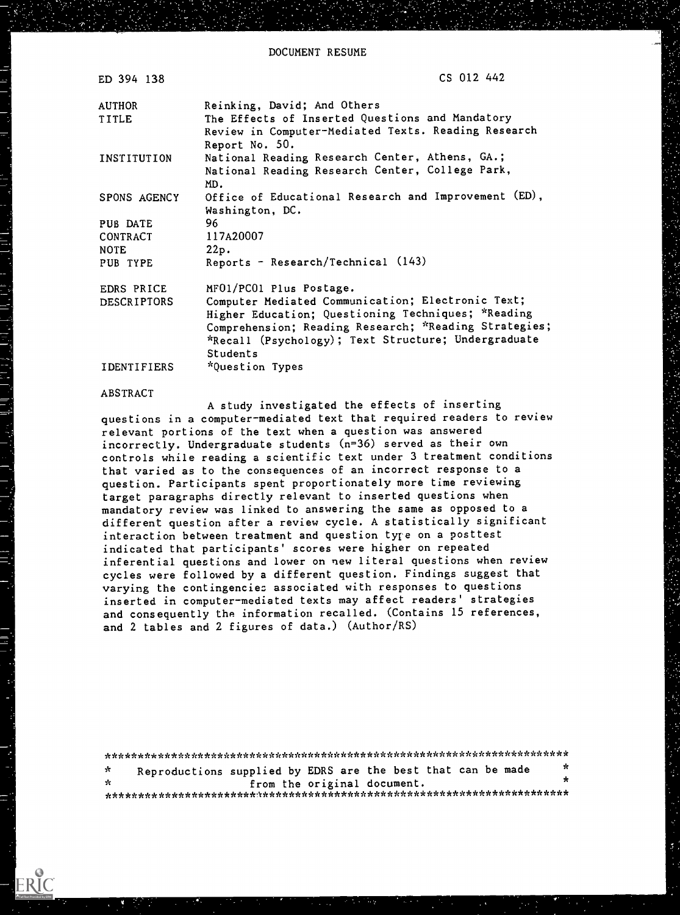| ED 394 138         | CS 012 442                                                            |
|--------------------|-----------------------------------------------------------------------|
| AUTHOR             | Reinking, David; And Others                                           |
| TITLE              | The Effects of Inserted Questions and Mandatory                       |
|                    | Review in Computer-Mediated Texts. Reading Research<br>Report No. 50. |
| INSTITUTION        | National Reading Research Center, Athens, GA.;                        |
|                    | National Reading Research Center, College Park,                       |
|                    | MD.                                                                   |
| SPONS AGENCY       | Office of Educational Research and Improvement (ED),                  |
|                    | Washington, DC.                                                       |
| PUB DATE           | 96                                                                    |
| CONTRACT           | 117A20007                                                             |
| <b>NOTE</b>        | 22p.                                                                  |
| PUB TYPE           | Reports - Research/Technical (143)                                    |
| EDRS PRICE         | MFO1/PCO1 Plus Postage.                                               |
| <b>DESCRIPTORS</b> | Computer Mediated Communication; Electronic Text;                     |
|                    | Higher Education; Questioning Techniques; *Reading                    |
|                    | Comprehension; Reading Research; *Reading Strategies;                 |
|                    | *Recall (Psychology); Text Structure; Undergraduate                   |
|                    | Students                                                              |
| <b>IDENTIFIERS</b> | *Question Types                                                       |
|                    |                                                                       |

#### ABSTRACT

A study investigated the effects of inserting questions in a computer-mediated text that required readers to review relevant portions of the text when a question was answered incorrectly. Undergraduate students (n=36) served as their own controls while reading a scientific text under 3 treatment conditions that varied as to the consequences of an incorrect response to a question. Participants spent proportionately more time reviewing target paragraphs directly relevant to inserted questions when mandatory review was linked to answering the same as opposed to a different question after a review cycle. A statistically significant interaction between treatment and question tyre on a posttest indicated that participants' scores were higher on repeated inferential questions and lower on new literal questions when review cycles were followed by a different question. Findings suggest that varying the contingencies associated with responses to questions inserted in computer-mediated texts may affect readers' strategies and consequently the information recalled. (Contains 15 references, and 2 tables and 2 figures of data.) (Author/RS)

\*\*\*\*\*\*\*\*\*\*\*\*\*\*\*\*\*\*\*\*\*\*\*\*\*\*\*\*\*\*\*\*\*\*\*\*\*\*\*\*\*\*\*\*\*\*\*\*\*\*\*\*\*\*\*\*\*\*\*\*\*\*\*\*\*\*\*\*\*\*\* Reproductions supplied by EDRS are the best that can be made  $\mathcal{A}_{\mathcal{C}}$ from the original document. \*\*\*\*\*\*\*\*\*\*\*\*\*\*\*\*\*\*\*\*\*\*\*.A\*\*\*\*\*\*\*\*\*\*\*\*\*\*\*\*\*\*\*\*\*\*\*\*\*\*\*\*\*\*\*\*\*\*\*\*\*\*\*\*\*\*\*\*\*\*\*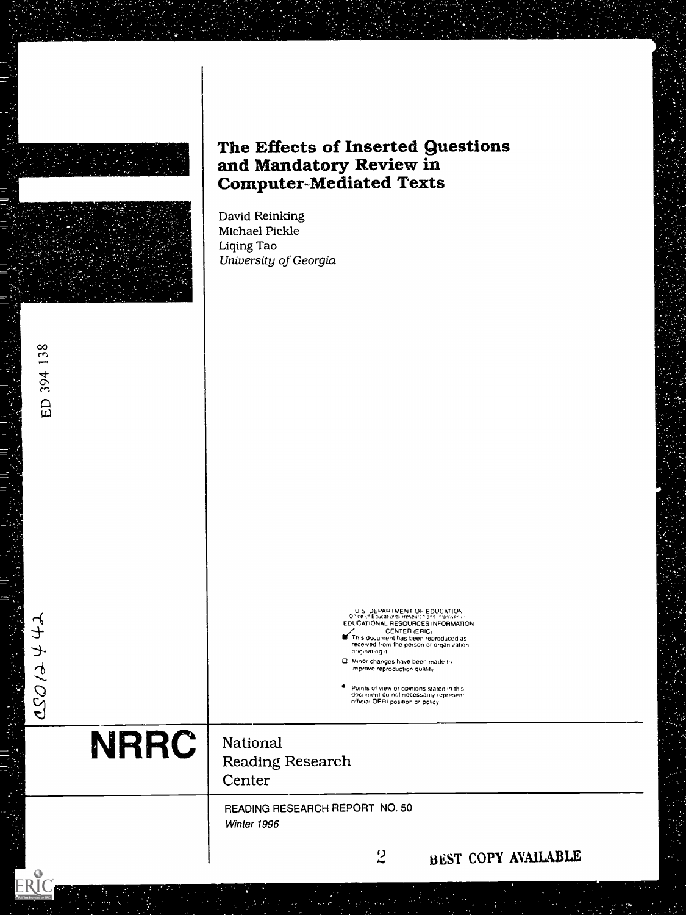|             | The Effects of Inserted Questions<br>and Mandatory Review in<br><b>Computer-Mediated Texts</b><br>David Reinking                                                                                                                                                                                                                                                                                                                             |
|-------------|----------------------------------------------------------------------------------------------------------------------------------------------------------------------------------------------------------------------------------------------------------------------------------------------------------------------------------------------------------------------------------------------------------------------------------------------|
|             | Michael Pickle<br>Liqing Tao<br>University of Georgia                                                                                                                                                                                                                                                                                                                                                                                        |
| ED 394 138  |                                                                                                                                                                                                                                                                                                                                                                                                                                              |
| 20020       | U.S. DEPARTMENT OF EDUCATION<br>Office of Educational Research and improvement<br>EDUCATIONAL RESOURCES INFORMATION<br>CENTER (ERIC)<br>This document has been reproduced as<br>received from the person or organization<br>originating it<br>D. Minor changes have been made to<br>improve reproduction quality.<br>Points of view or opinions stated in this<br>document do not necessarily represent<br>official OERI position or policy. |
| <b>NRRC</b> | National<br><b>Reading Research</b><br>Center                                                                                                                                                                                                                                                                                                                                                                                                |
|             | READING RESEARCH REPORT NO. 50<br>Winter 1996                                                                                                                                                                                                                                                                                                                                                                                                |
| $\bullet$   | $\overline{2}$<br>BEST COPY AVAILABLE                                                                                                                                                                                                                                                                                                                                                                                                        |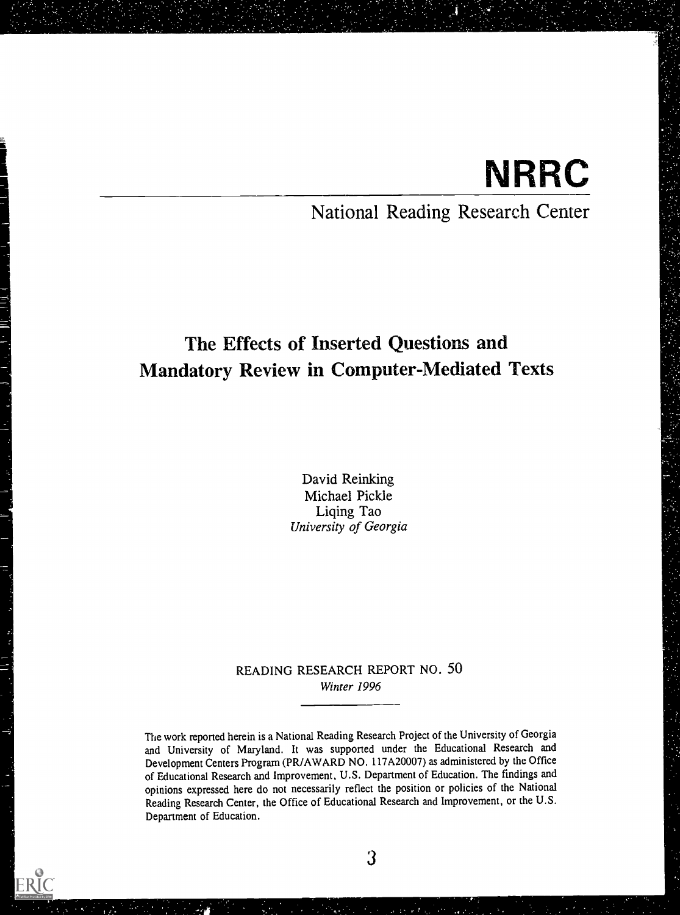# **NRRC**

# National Reading Research Center

# The Effects of Inserted Questions and Mandatory Review in Computer-Mediated Texts

David Reinking Michael Pickle Liqing Tao University of Georgia

# READING RESEARCH REPORT NO. 50 Winter 1996

The work reported herein is a National Reading Research Project of the University of Georgia and University of Maryland. It was supported under the Educational Research and Development Centers Program (PR/AWARD NO. 117A20007) as administered by the Office of Educational Research and Improvement, U.S. Department of Education. The findings and opinions expressed here do not necessarily reflect the position or policies of the National Reading Research Center, the Office of Educational Research and Improvement, or the U.S. Department of Education.

ERIC

3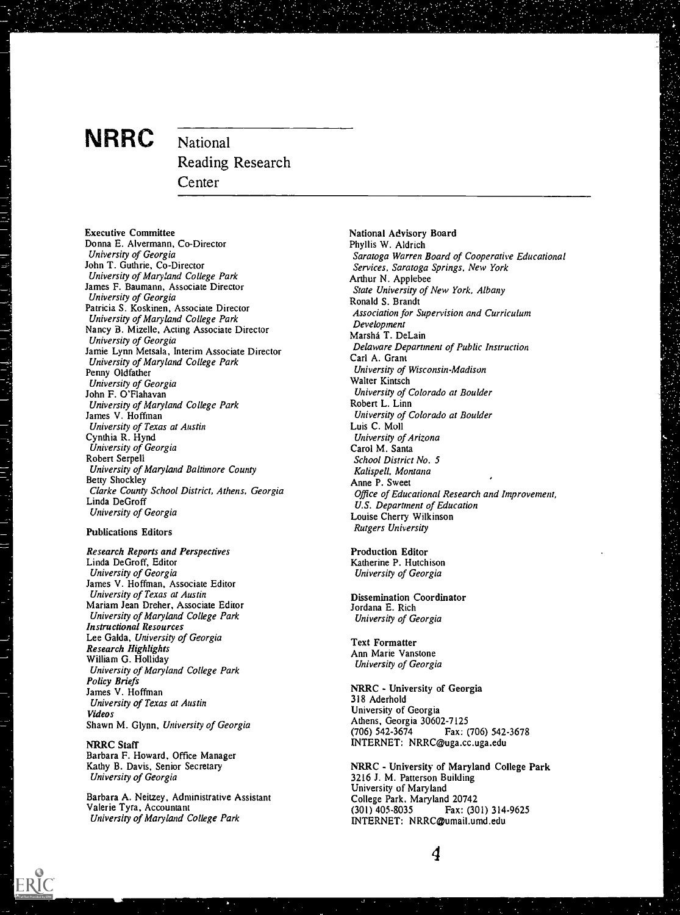# NRRC National

Reading Research Center

Executive Committee Donna E. Alvermann, Co-Director University of Georgia John T. Guthrie, Co-Director University of Maryland College Park James F. Baumann, Associate Director University of Georgia Patricia S. Koskinen, Associate Director University of Maryland College Park Nancy B. Mizelle, Acting Associate Director University of Georgia Jamie Lynn Metsala, Interim Associate Director University of Maryland College Park Penny Oldfather University of Georgia John F. O'Flahavan University of Maryland College Park James V. Hoffman University of Texas at Austin Cynthia R. Hynd University of Georgia Robert Serpell University of Maryland Baltimore County Betty Shockley Clarke County School District, Athens. Georgia Linda DeGroff University of Georgia

#### Publications Editors

Research Reports and Perspectives Linda DeGroff, Editor University of Georgia James V. Hoffman, Associate Editor University of Texas at Austin Mariam Jean Dreher, Associate Editor University of Maryland College Park Instructional Resources Lee Galda, University of Georgia Research Highlights William G. Holliday University of Maryland College Park Policy Briefs James V. Hoffman University of Texas at Austin Videos Shawn M. Glynn, University of Georgia

NRRC Staff Barbara F. Howard, Office Manager Kathy B. Davis, Senior Secretary University of Georgia

Barbara A. Neitzey, Administrative Assistant Valerie Tyra, Accountant University of Maryland College Park

National Advisory Board Phyllis W. Aldrich Saratoga Warren Board of Cooperative Educational Services, Saratoga Springs, New York Arthur N. Applebee State University of New York, Albany Ronald S. Brandt Association for Supervision and Curriculum Development Marsha T. DeLain Delaware Department of Public Instruction Carl A. Grant University of Wisconsin-Madison Walter Kintsch University of Colorado at Boulder Robert L. Linn University of Colorado at Boulder Luis C. Moll University of Arizona Carol M. Santa School District No. 5 Kalispell, Montana Anne P. Sweet Office of Educational Research and Improvement, U.S. Department of Education Louise Cherry Wilkinson Rutgers University

Production Editor Katherine P. Hutchison University of Georgia

Dissemination Coordinator Jordana E. Rich University of Georgia

Text Formatter Ann Marie Vanstone University of Georgia

NRRC - University of Georgia 318 Aderhold University of Georgia Athens, Georgia 30602-7125 (706) 542-3674 Fax: (706) 542-3678 INTERNET: NRRC@uga.cc.uga.edu

NRRC - University of Maryland College Park 3216 J. M. Patterson Building University of Maryland College Park, Maryland 20742 Fax: (301) 314-9625 INTERNET: NRRC@umail.umd.edu

4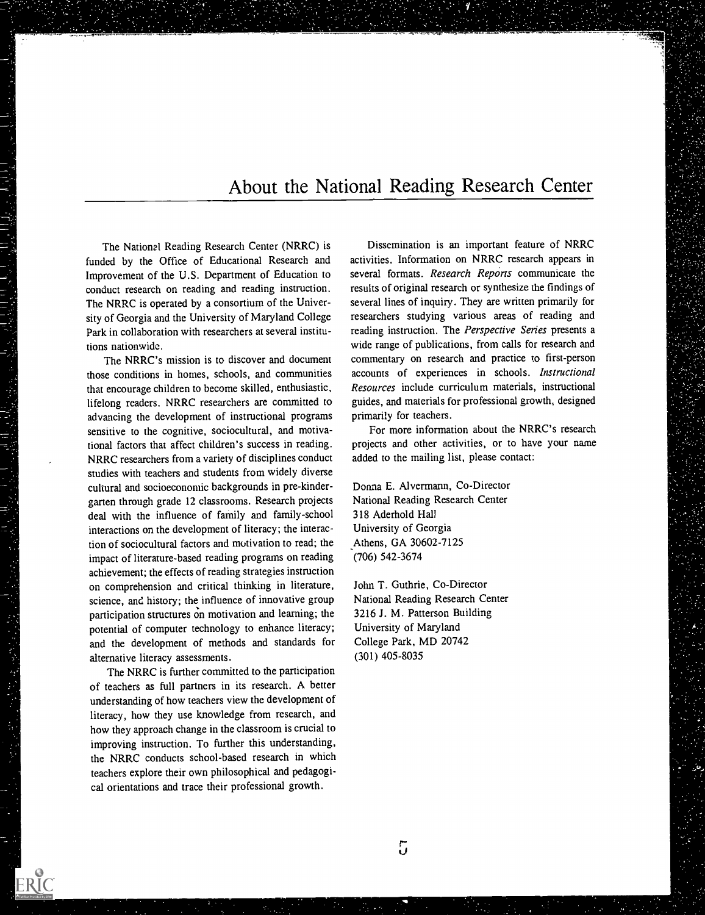# About the National Reading Research Center

The National Reading Research Center (NRRC) is funded by the Office of Educational Research and Improvement of the U.S. Department of Education to conduct research on reading and reading instruction. The NRRC is operated by a consortium of the University of Georgia and the University of Maryland College Park in collaboration with researchers at several institutions nationwide.

The NRRC's mission is to discover and document those conditions in homes, schools, and communities that encourage children to become skilled, enthusiastic, lifelong readers. NRRC researchers are committed to advancing the development of instructional programs sensitive to the cognitive, sociocultural, and motivational factors that affect children's success in reading. NRRC researchers from a variety of disciplines conduct studies with teachers and students from widely diverse cultural and socioeconomic backgrounds in pre-kindergarten through grade 12 classrooms. Research projects deal with the influence of family and family-school interactions on the development of literacy; the interaction of sociocultural factors and motivation to read; the impact of literature-based reading programs on reading achievement; the effects of reading strategies instruction on comprehension and critical thinking in literature, science, and history; the influence of innovative group participation structures on motivation and learning; the potential of computer technology to enhance literacy; and the development of methods and standards for alternative literacy assessments.

The NRRC is further committed to the participation of teachers as full partners in its research. A better understanding of how teachers view the development of literacy, how they use knowledge from research, and how they approach change in the classroom is crucial to improving instruction. To further this understanding, the NRRC conducts school-based research in which teachers explore their own philosophical and pedagogical orientations and trace their professional growth.

网络巴罗斯普 医异构产于器

ERIC

Dissemination is an important feature of NRRC activities. Information on NRRC research appears in several formats. Research Reports communicate the results of original research or synthesize the findings of several lines of inquiry. They are written primarily for researchers studying various areas of reading and reading instruction. The Perspective Series presents a wide range of publications, from calls for research and commentary on research and practice to first-person accounts of experiences in schools. Instructional Resources include curriculum materials, instructional guides, and materials for professional growth, designed primarily for teachers.

For more information about the NRRC's research projects and other activities, or to have your name added to the mailing list, please contact:

Donna E. Alvermann, Co-Director National Reading Research Center 318 Aderhold Hall University of Georgia Athens, GA 30602-7125 (706) 542-3674

John T. Guthrie, Co-Director National Reading Research Center 3216 J. M. Patterson Building University of Maryland College Park, MD 20742 (301) 405-8035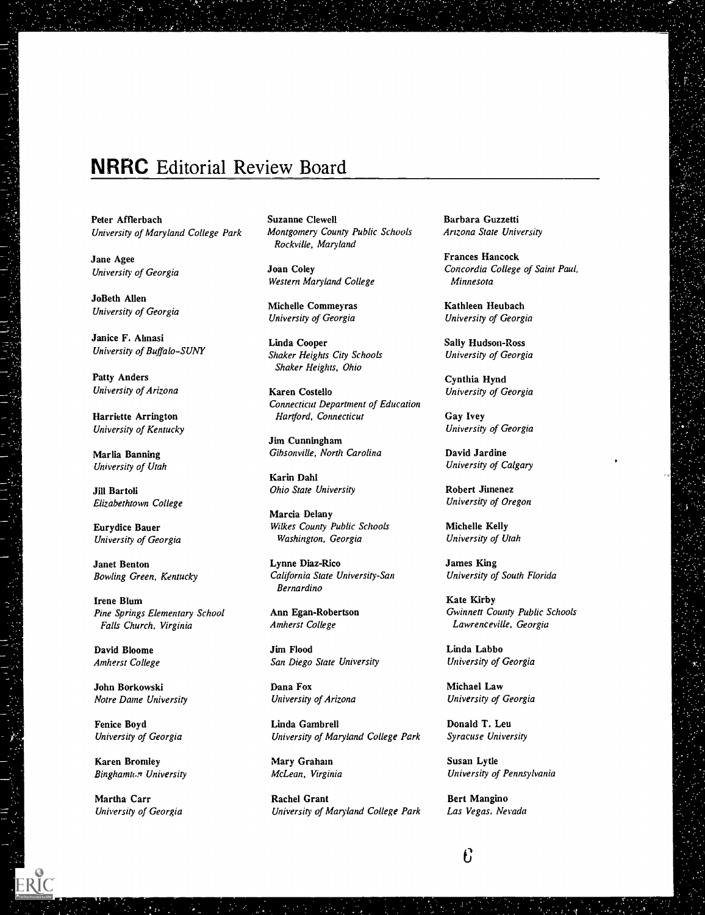# NRRC Editorial Review Board

Peter Afflerbach University of Maryland College Park

Jane Agee University of Georgia

JoBeth Allen University of Georgia

Janice F. Ahnasi University of Buffalo-SUNY

Patty Anders University of Arizona

Harriette Arrington University of Kentucky

Marlia Banning University of Utah

Jill Bartoli Elizabethtown College

Eurydice Bauer University of Georgia

Janet Benton Bowling Green, Kentucky

Irene Blum Pine Springs Elementary School Falls Church, Virginia

David Bloome Amherst College

John Borkowski Notre Dame University

Fenice Boyd University of Georgia

Karen Bromley Binghamton University

Martha Carr University of Georgia Suzanne Clewell Montgomery County Public Schools Rockville, Maryland

Joan Coley Western Maryland College

Michelle Commeyras University of Georgia

Linda Cooper Shaker Heights City Schools Shaker Heights, Ohio

Karen Costello Connecticut Department of Education Hartford, Connecticut

Jim Cunningham Gibsonville, North Carolina

Karin Dahl Ohio State University

Marcia Delany Wilkes County Public Schools Washington, Georgia

Lynne Diaz-Rico California State University-San Bernardino

Ann Egan-Robertson Amherst College

Jim Flood San Diego State University

Dana Fox University of Arizona

Linda Gambrel! University of Maryland College Park

Mary Graham McLean, Virginia

Rachel Grant University of Maryland College Park

Barbara Guzzetti Arizona State University

Frances Hancock Concordia College of Saint Paul, Minnesota

Kathleen Heubach University of Georgia

Sally Hudson-Ross University of Georgia

Cynthia Hynd University of Georgia

Gay Ivey University of Georgia

David Jardine University of Calgary

Robert Jimenez University of Oregon

Michelle Kelly University of Utah

James King University of South Florida

Kate Kirby Gwinnett County Public Schools Lawrenceville, Georgia

Linda Labbo University of Georgia

Michael Law University of Georgia

Donald T. Leu Syracuse University

Susan Lytle University of Pennsylvania

Bert Mangino Las Vegas, Nevada

 $\mathbf{f}$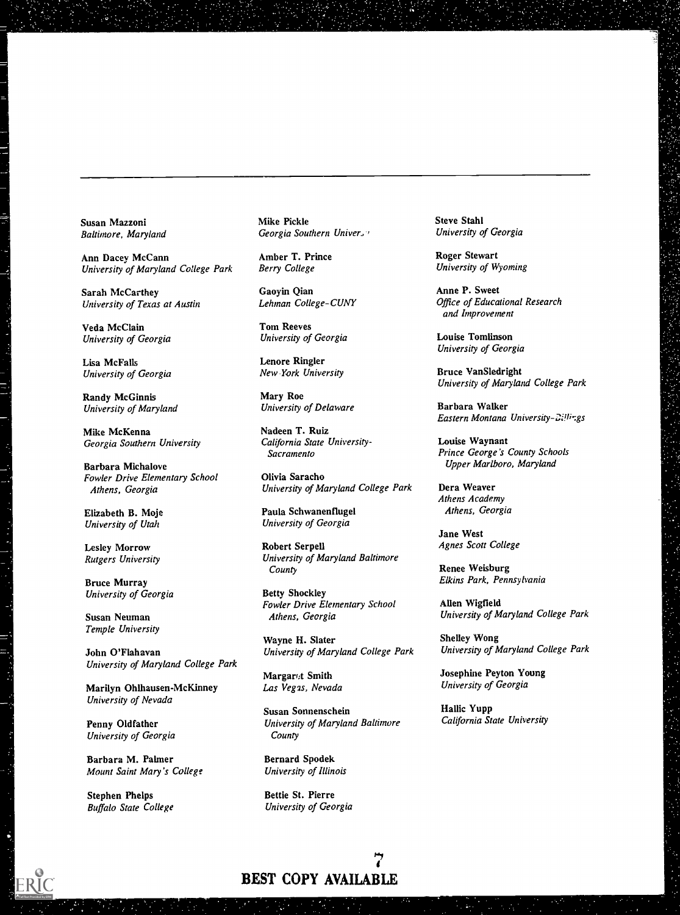Susan Mazzoni Baltimore, Maryland

Ann Dacey McCann University of Maryland College Park

Sarah McCarthey University of Texas at Austin

Veda McClain University of Georgia

Lisa McFalls University of Georgia

Randy McGinnis University of Maryland

Mike McKenna Georgia Southern University

Barbara Michalove Fowler Drive Elementary School Athens, Georgia

Elizabeth B. Moje University of Utah

Lesley Morrow Rutgers University

Bruce Murray University of Georgia

Susan Neuman Temple University

John O'Flahavan University of Maryland College Park

Marilyn Ohlhausen-McKinney University of Nevada

Penny Oldfather University of Georgia

Barbara M. Palmer Mount Saint Mary's College

Stephen Phelps Buffalo State College Mike Pickle Georgia Southern Univer,

Amber T. Prince Berry College

Gaoyin Qian Lehman College-CUNY

Tom Reeves University of Georgia

Lenore Ringler New York University

Mary Roe University of Delaware

Nadeen T. Ruiz California State University-Sacramento

Olivia Saracho University of Maryland College Park

Paula Schwanenflugel University of Georgia

Robert Serpell University of Maryland Baltimore County

Betty Shockley Fowler Drive Elementary School Athens, Georgia

Wayne H. Slater University of Maryland College Park

Margart Smith Las Vegas, Nevada

Susan Sonnenschein University of Maryland Baltimore **County** 

Bernard Spodek University of Illinois

Bettie St. Pierre University of Georgia Steve Stahl University of Georgia

Roger Stewart University of Wyoming

Anne P. Sweet Office of Educational Research and Improvement

Louise Tomlinson University of Georgia

Bruce VanSledright University of Maryland College Park

Barbara Walker Eastern Montana University-Cillir.gs

Louise Waynant Prince George's County Schools Upper Marlboro, Maryland

Dera Weaver Athens Academy Athens, Georgia

Jane West Agnes Scott College

Renee Weisburg Elkins Park, Pennsylvania

Allen Wigfield University of Maryland College Park

Shelley Wong University of Maryland College Park

Josephine Peyton Young University of Georgia

Hallic Yupp California State University

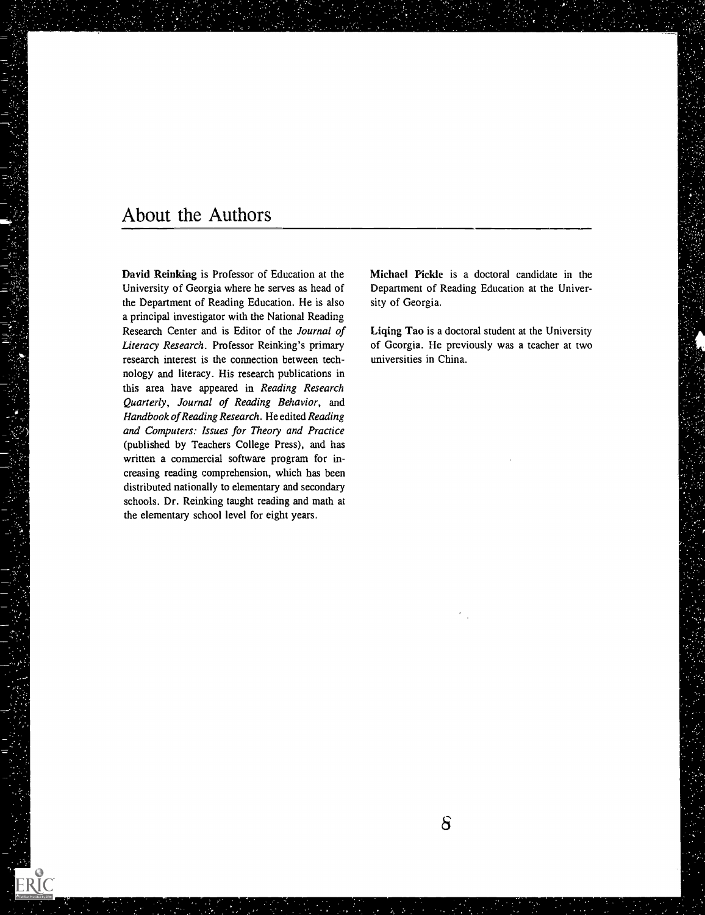# About the Authors

ERIC

David Reinking is Professor of Education at the University of Georgia where he serves as head of the Department of Reading Education. He is also a principal investigator with the National Reading Research Center and is Editor of the Journal of Literacy Research. Professor Reinking's primary research interest is the connection between technology and literacy. His research publications in this area have appeared in Reading Research Quarterly, Journal of Reading Behavior, and Handbook of Reading Research. He edited Reading and Computers: Issues for Theory and Practice (published by Teachers College Press), and has written a commercial software program for increasing reading comprehension, which has been distributed nationally to elementary and secondary schools. Dr. Reinking taught reading and math at the elementary school level for eight years.

Michael Pickle is a doctoral candidate in the Department of Reading Education at the University of Georgia.

Liqing Tao is a doctoral student at the University of Georgia. He previously was a teacher at two universities in China.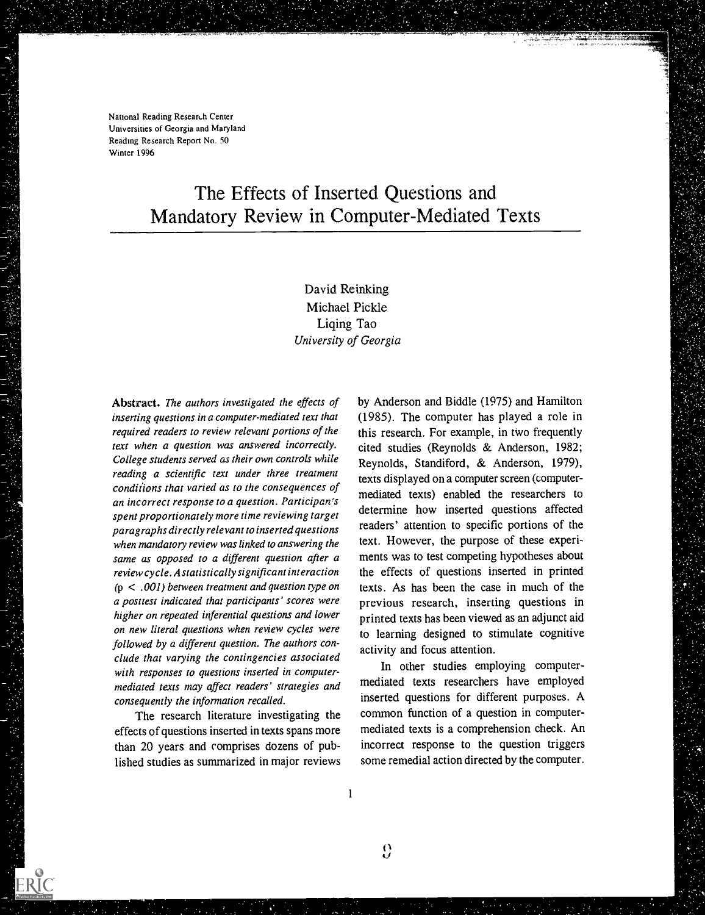National Reading Research Center Universities of Georgia and Maryland Reading Research Report No. 50 Winter 1996

# The Effects of Inserted Questions and Mandatory Review in Computer-Mediated Texts

David Reinking Michael Pickle Liqing Tao University of Georgia

Abstract. The authors investigated the effects of inserting questions in a computer-mediated text that required readers to review relevant portions of the text when a question was answered incorrectly. College students served as their own controls while reading a scientific text under three treatment conditions that varied as to the consequences of an incorrect response to a question. Participan's spent proportionately more time reviewing target paragraphs directly relevant to inserted questions when mandatory review was linked to answering the same as opposed to a different question after a review cycle . A statistically significant interaction (p < .001) berween treatment and question type on a posttest indicated that participants' scores were higher on repeated inferential questions and lower on new literal questions when review cycles were followed by a different question. The authors conclude that varying the contingencies associated with responses to questions inserted in computermediated texts may affect readers' strategies and consequently the information recalled.

The research literature investigating the effects of questions inserted in texts spans more than 20 years and comprises dozens of published studies as summarized in major reviews

ERIC

by Anderson and Biddle (1975) and Hamilton (1985). The computer has played a role in this research. For example, in two frequently cited studies (Reynolds & Anderson, 1982; Reynolds, Standiford, & Anderson, 1979), texts displayed on a computer screen (computermediated texts) enabled the researchers to determine how inserted questions affected readers' attention to specific portions of the text. However, the purpose of these experiments was to test competing hypotheses about the effects of questions inserted in printed texts . As has been the case in much of the previous research, inserting questions in printed texts has been viewed as an adjunct aid to learning designed to stimulate cognitive activity and focus attention.

In other studies employing computermediated texts researchers have employed inserted questions for different purposes. A common function of a question in computermediated texts is a comprehension check. An incorrect response to the question triggers some remedial action directed by the computer.

 $\mathbf{0}$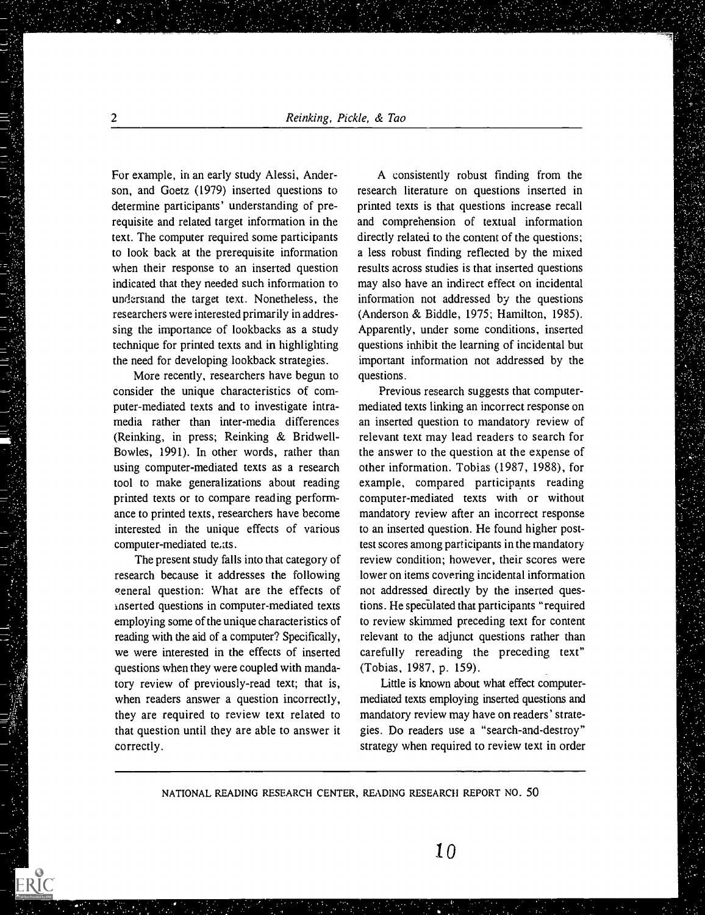For example, in an early study Alessi, Anderson, and Goetz (1979) inserted questions to determine participants' understanding of prerequisite and related target information in the text. The computer required some participants to look back at the prerequisite information when their response to an inserted question indicated that they needed such information to understand the target text. Nonetheless, the researchers were interested primarily in addressing the importance of lookbacks as a study technique for printed texts and in highlighting the need for developing lookback strategies.

More recently, researchers have begun to consider the unique characteristics of computer-mediated texts and to investigate intramedia rather than inter-media differences (Reinking, in press; Reinking & Bridwell-Bowles, 1991). In other words, rather than using computer-mediated texts as a research tool to make generalizations about reading printed texts or to compare reading performance to printed texts, researchers have become interested in the unique effects of various computer-mediated te,tts.

The present study falls into that category of research because it addresses the following general question: What are the effects of inserted questions in computer-mediated texts employing some of the unique characteristics of reading with the aid of a computer? Specifically, we were interested in the effects of inserted questions when they were coupled with mandatory review of previously-read text; that is, when readers answer a question incorrectly, they are required to review text related to that question until they are able to answer it correctly.

A consistently robust finding from the research literature on questions inserted in printed texts is that questions increase recall and comprehension of textual information directly related to the content of the questions; a less robust finding reflected by the mixed results across studies is that inserted questions may also have an indirect effect on incidental information not addressed by the questions (Anderson & Biddle, 1975; Hamilton, 1985). Apparently, under some conditions, inserted questions inhibit the learning of incidental but important information not addressed by the questions.

Previous research suggests that computermediated texts linking an incorrect response on an inserted question to mandatory review of relevant text may lead readers to search for the answer to the question at the expense of other information. Tobias (1987, 1988), for example, compared participants reading computer-mediated texts with or without mandatory review after an incorrect response to an inserted question. He found higher posttest scores among participants in the mandatory review condition; however, their scores were lower on items covering incidental information not addressed directly by the inserted questions. He speculated that participants "required to review skimmed preceding text for content relevant to the adjunct questions rather than carefully rereading the preceding text" (Tobias, 1987, p. 159).

Little is known about what effect computermediated texts employing inserted questions and mandatory review may have on readers' strategies. Do readers use a "search-and-destroy" strategy when required to review text in order

NATIONAL READING RESEARCH CENTER, READING RESEARCH REPORT NO. 50

ERIC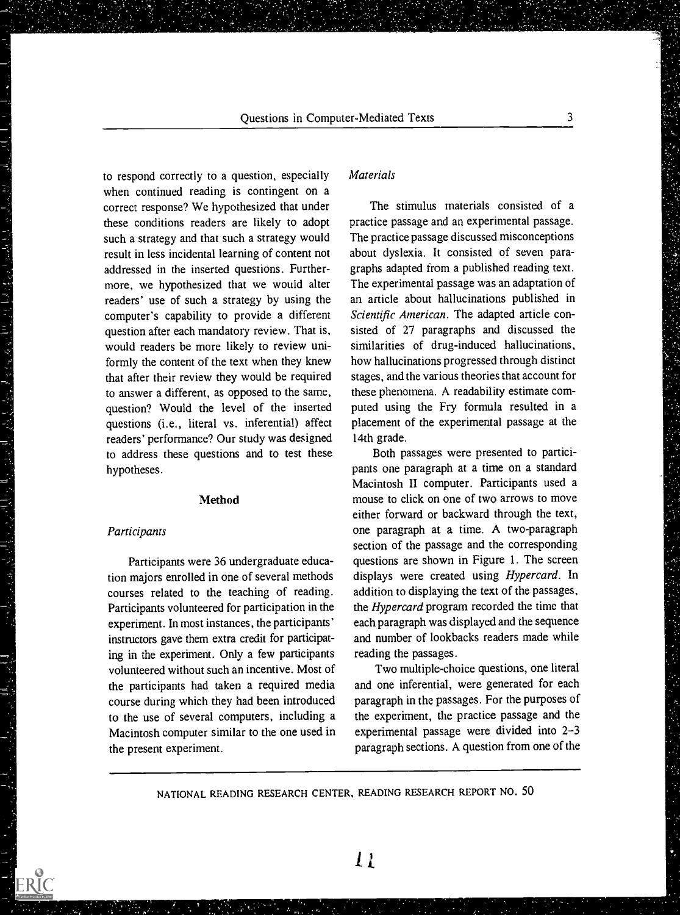to respond correctly to a question, especially when continued reading is contingent on a correct response? We hypothesized that under these conditions readers are likely to adopt such a strategy and that such a strategy would result in less incidental learning of content not addressed in the inserted questions. Furthermore, we hypothesized that we would alter readers' use of such a strategy by using the computer's capability to provide a different question after each mandatory review. That is, would readers be more likely to review uniformly the content of the text when they knew that after their review they would be required to answer a different, as opposed to the same, question? Would the level of the inserted questions (i.e., literal vs. inferential) affect readers' performance? Our study was designed to address these questions and to test these hypotheses.

#### Method

#### Participants

1. 4. 放大家是一个时候,可以是一个人的人的人的人。

Participants were 36 undergraduate education majors enrolled in one of several methods courses related to the teaching of reading. Participants volunteered for participation in the experiment. In most instances, the participants' instructors gave them extra credit for participating in the experiment. Only a few participants volunteered without such an incentive. Most of the participants had taken a required media course during which they had been introduced to the use of several computers, including a Macintosh computer similar to the one used in the present experiment.

# **Materials**

The stimulus materials consisted of a practice passage and an experimental passage. The practice passage discussed misconceptions about dyslexia. It consisted of seven paragraphs adapted from a published reading text. The experimental passage was an adaptation of an article about hallucinations published in Scientific American. The adapted article consisted of 27 paragraphs and discussed the similarities of drug-induced hallucinations, how hallucinations progressed through distinct stages, and the various theories that account for these phenomena. A readability estimate computed using the Fry formula resulted in a placement of the experimental passage at the 14th grade.

Both passages were presented to participants one paragraph at a time on a standard Macintosh II computer. Participants used a mouse to click on one of two arrows to move either forward or backward through the text, one paragraph at a time. A two-paragraph section of the passage and the corresponding questions are shown in Figure 1. The screen displays were created using Hypercard. In addition to displaying the text of the passages, the Hypercard program recorded the time that each paragraph was displayed and the sequence and number of lookbacks readers made while reading the passages.

Two multiple-choice questions, one literal and one inferential, were generated for each paragraph in the passages. For the purposes of the experiment, the practice passage and the experimental passage were divided into 2-3 paragraph sections. A question from one of the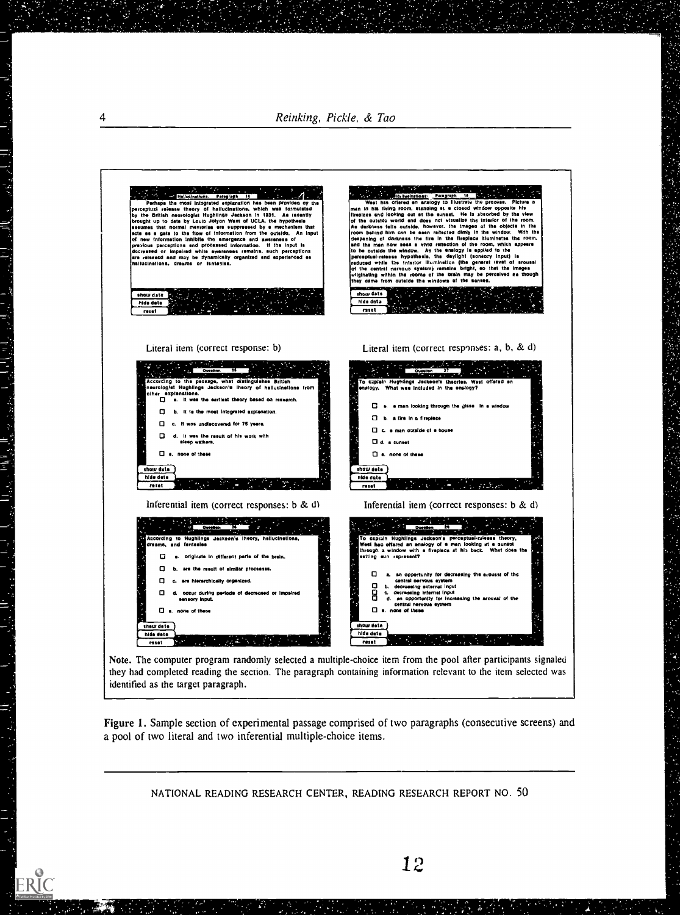4 Reinking, Pickle, & Tao



Note. The computer program randomly selected a multiple-choice item from the pool after participants signaled they had completed reading the section. The paragraph containing information relevant to the item selected was identified as the target paragraph.

Figure 1. Sample section of experimental passage comprised of two paragraphs (consecutive screens) and a pool of two literal and two inferential multiple-choice items.

NATIONAL READING RESEARCH CENTER, READING RESEARCH REPORT NO. 50

ERIC

٠.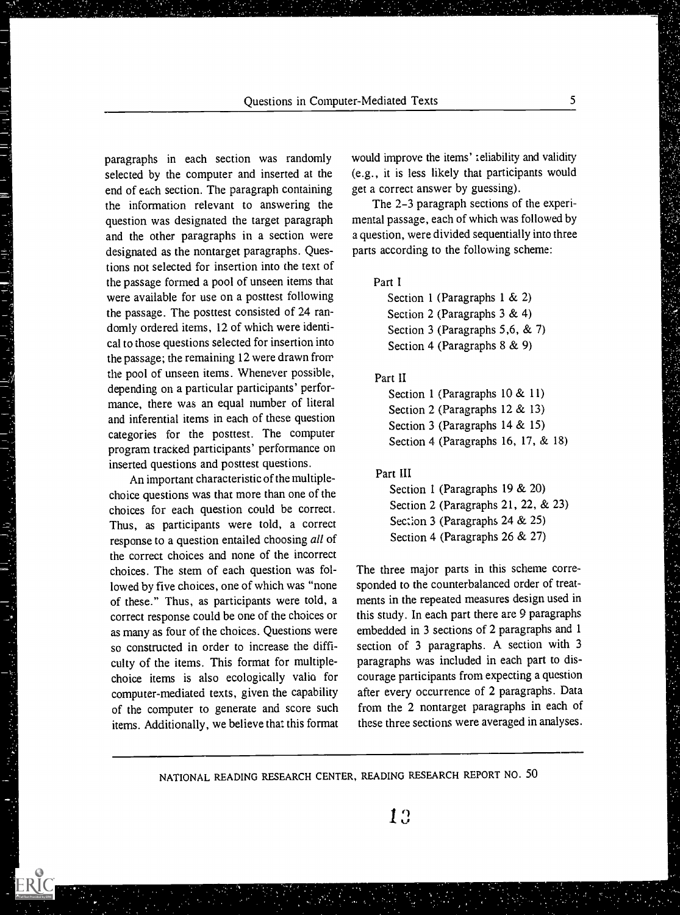paragraphs in each section was randomly selected by the computer and inserted at the end of each section. The paragraph containing the information relevant to answering the question was designated the target paragraph and the other paragraphs in a section were designated as the nontarget paragraphs. Questions not selected for insertion into the text of the passage formed a pool of unseen items that were available for use on a posttest following the passage. The posttest consisted of 24 randomly ordered items, 12 of which were identical to those questions selected for insertion into the passage; the remaining 12 were drawn from the pool of unseen items. Whenever possible, depending on a particular participants' performance, there was an equal number of literal and inferential items in each of these question categories for the posttest. The computer program tracked participants' performance on inserted questions and posttest questions.

An important characteristic of the multiplechoice questions was that more than one of the choices for each question could be correct. Thus, as participants were told, a correct response to a question entailed choosing all of the correct choices and none of the incorrect choices. The stem of each question was followed by five choices, one of which was "none of these." Thus, as participants were told, a correct response could be one of the choices or as many as four of the choices. Questions were so constructed in order to increase the difficulty of the items. This format for multiplechoice items is also ecologically valio for computer-mediated texts, given the capability of the computer to generate and score such items. Additionally, we believe that this format

المالي المالي بن المالي المالي المالي المالي المالي المالي المالي المالي المالي المالي المالي المالي المالي ال<br>المالي المالي المالي المالي المالي المالي المالي المالي المالي المالي المالي المالي المالي المالي المالي المال

would improve the items' :eliability and validity (e.g., it is less likely that participants would get a correct answer by guessing).

The 2-3 paragraph sections of the experimental passage, each of which was followed by a question, were divided sequentially into three parts according to the following scheme:

# Part I

Section 1 (Paragraphs  $1 \& 2$ ) Section 2 (Paragraphs 3 & 4) Section 3 (Paragraphs 5,6, & 7) Section 4 (Paragraphs 8 & 9)

### Part II

Section 1 (Paragraphs 10 & 11) Section 2 (Paragraphs 12 & 13) Section 3 (Paragraphs 14 & 15) Section 4 (Paragraphs 16, 17, & 18)

### Part III

Section 1 (Paragraphs 19 & 20) Section 2 (Paragraphs 21, 22, & 23) Seccion 3 (Paragraphs 24 & 25) Section 4 (Paragraphs 26 & 27)

The three major parts in this scheme corresponded to the counterbalanced order of treatments in the repeated measures design used in this study. In each part there are 9 paragraphs embedded in 3 sections of 2 paragraphs and 1 section of 3 paragraphs. A section with 3 paragraphs was included in each part to discourage participants from expecting a question after every occurrence of 2 paragraphs. Data from the 2 nontarget paragraphs in each of these three sections were averaged in analyses.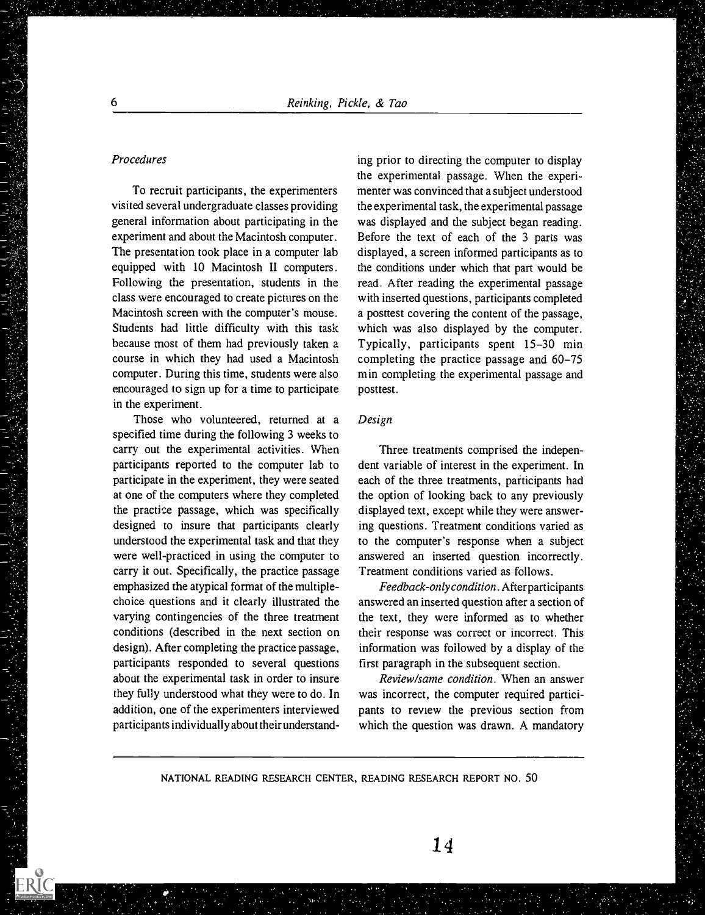### Procedures

To recruit participants, the experimenters visited several undergraduate classes providing general information about participating in the experiment and about the Macintosh computer. The presentation took place in a computer lab equipped with 10 Macintosh II computers. Following the presentation, students in the class were encouraged to create pictures on the Macintosh screen with the computer's mouse. Students had little difficulty with this task because most of them had previously taken a course in which they had used a Macintosh computer. During this time, students were also encouraged to sign up for a time to participate in the experiment.

Those who volunteered, returned at a specified time during the following 3 weeks to carry out the experimental activities. When participants reported to the computer lab to participate in the experiment, they were seated at one of the computers where they completed the practice passage, which was specifically designed to insure that participants clearly understood the experimental task and that they were well-practiced in using the computer to carry it out. Specifically, the practice passage emphasized the atypical format of the multiplechoice questions and it clearly illustrated the varying contingencies of the three treatment conditions (described in the next section on design). After completing the practice passage, participants responded to several questions about the experimental task in order to insure they fully understood what they were to do. In addition, one of the experimenters interviewed participants individually about their understanding prior to directing the computer to display the experimental passage. When the experimenter was convinced that a subject understood the experimental task, the experimental passage was displayed and the subject began reading. Before the text of each of the 3 parts was displayed, a screen informed participants as to the conditions under which that part would be read. After reading the experimental passage with inserted questions, participants completed a posttest covering the content of the passage, which was also displayed by the computer. Typically, participants spent 15-30 min completing the practice passage and 60-75 min completing the experimental passage and posttest.

# Design

Three treatments comprised the independent variable of interest in the experiment. In each of the three treatments, participants had the option of looking back to any previously displayed text, except while they were answering questions. Treatment conditions varied as to the computer's response when a subject answered an inserted question incorrectly. Treatment conditions varied as follows.

Feedback-onlycondition. Afterparticipants answered an inserted question after a section of the text, they were informed as to whether their response was correct or incorrect. This information was followed by a display of the first paragraph in the subsequent section.

Review/same condition. When an answer was incorrect, the computer required participants to review the previous section from which the question was drawn. A mandatory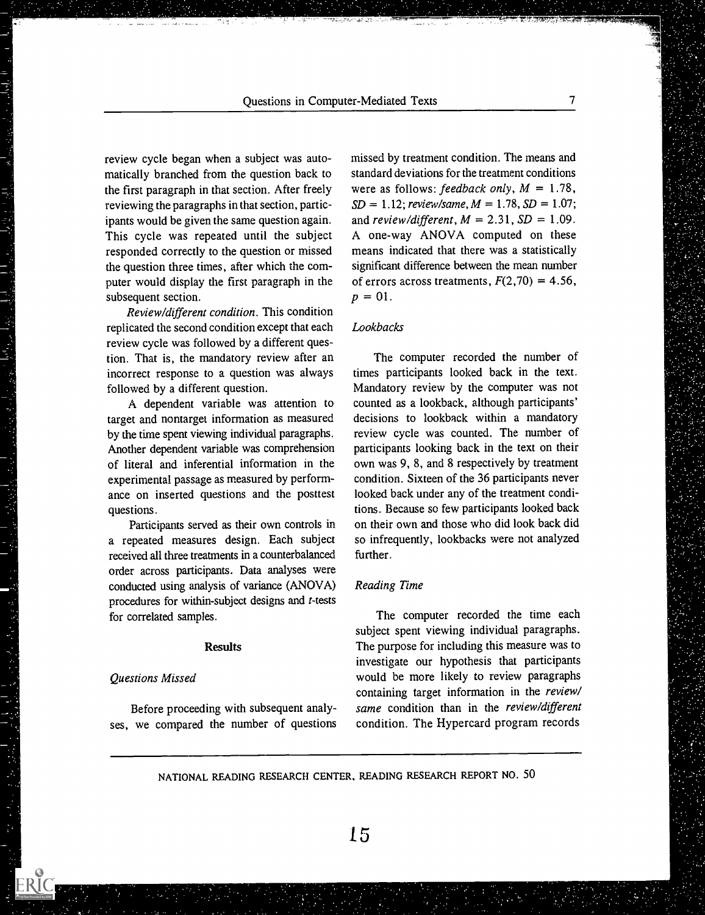review cycle began when a subject was automatically branched from the question back to the first paragraph in that section. After freely reviewing the paragraphs in that section, participants would be given the same question again. This cycle was repeated until the subject responded correctly to the question or missed the question three times, after which the computer would display the first paragraph in the subsequent section.

Review/different condition. This condition replicated the second condition except that each review cycle was followed by a different question. That is, the mandatory review after an incorrect response to a question was always followed by a different question.

A dependent variable was attention to target and nontarget information as measured by the time spent viewing individual paragraphs. Another dependent variable was comprehension of literal and inferential information in the experimental passage as measured by performance on inserted questions and the posttest questions.

Participants served as their own controls in a repeated measures design. Each subject received all three treatments in a counterbalanced order across participants. Data analyses were conducted using analysis of variance (ANOVA) procedures for within-subject designs and t-tests for correlated samples.

### **Results**

### Questions Missed

 $\label{eq:2.1} \mathcal{F}(\mathcal{G})=\mathcal{F}(\mathcal{G})\mathcal{F}(\mathcal{G})\mathcal{F}(\mathcal{G})\mathcal{F}(\mathcal{G})\mathcal{F}(\mathcal{G})$ 

Before proceeding with subsequent analyses, we compared the number of questions missed by treatment condition. The means and standard deviations for the treatment conditions were as follows: feedback only,  $M = 1.78$ ,  $SD = 1.12$ ; review/same,  $M = 1.78$ ,  $SD = 1.07$ ; and review/different,  $M = 2.31$ ,  $SD = 1.09$ . A one-way ANOVA computed on these means indicated that there was a statistically significant difference between the mean number of errors across treatments,  $F(2,70) = 4.56$ ,  $p = 01$ .

### Lookbacks

The computer recorded the number of times participants looked back in the text. Mandatory review by the computer was not counted as a lookback, although participants' decisions to lookback within a mandatory review cycle was counted. The number of participants looking back in the text on their own was 9, 8, and 8 respectively by treatment condition. Sixteen of the 36 participants never looked back under any of the treatment conditions. Because so few participants looked back on their own and those who did look back did so infrequently, lookbacks were not analyzed further.

#### Reading Time

The computer recorded the time each subject spent viewing individual paragraphs. The purpose for including this measure was to investigate our hypothesis that participants would be more likely to review paragraphs containing target information in the review/ same condition than in the review/different condition. The Hypercard program records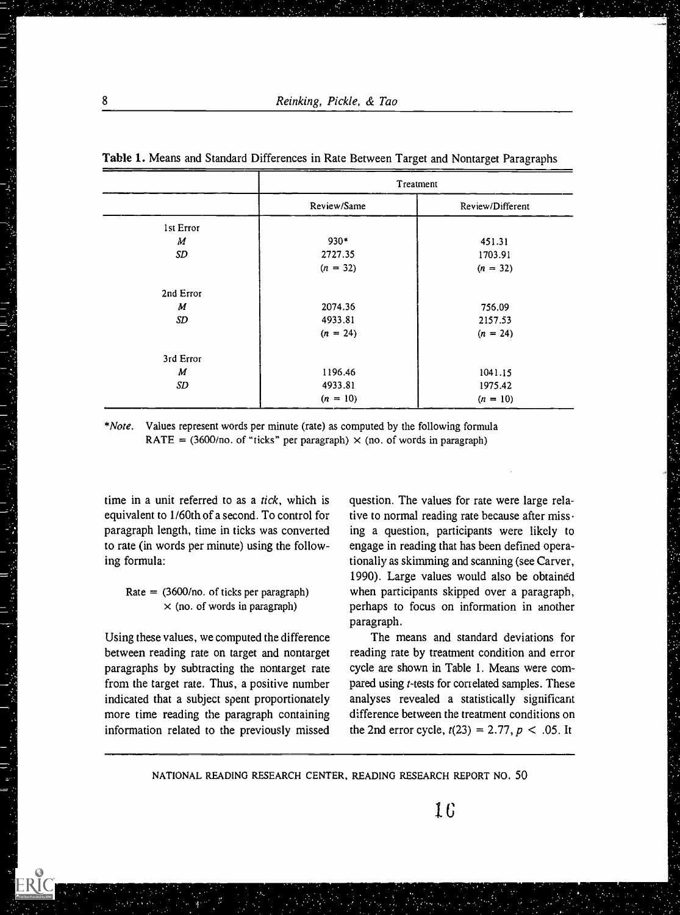|                  | Treatment   |                  |  |
|------------------|-------------|------------------|--|
|                  | Review/Same | Review/Different |  |
| Ist Error        |             |                  |  |
| М                | $930*$      | 451.31           |  |
| SD               | 2727.35     | 1703.91          |  |
|                  | $(n = 32)$  | $(n = 32)$       |  |
| 2nd Error        |             |                  |  |
| $\boldsymbol{M}$ | 2074.36     | 756.09           |  |
| SD               | 4933.81     | 2157.53          |  |
|                  | $(n = 24)$  | $(n = 24)$       |  |
| 3rd Error        |             |                  |  |
| M                | 1196.46     | 1041.15          |  |
| SD               | 4933.81     | 1975.42          |  |
|                  | $(n = 10)$  | $(n = 10)$       |  |

Table 1. Means and Standard Differences in Rate Between Target and Nontarget Paragraphs

\*Note. Values represent words per minute (rate) as computed by the following formula RATE = (3600/no. of "ticks" per paragraph)  $\times$  (no. of words in paragraph)

time in a unit referred to as a tick, which is equivalent to 1/60th of a second. To control for paragraph length, time in ticks was converted to rate (in words per minute) using the following formula:

# Rate  $=$  (3600/no. of ticks per paragraph)  $\times$  (no. of words in paragraph)

Using these values, we computed the difference between reading rate on target and nontarget paragraphs by subtracting the nontarget rate from the target rate. Thus, a positive number indicated that a subject spent proportionately more time reading the paragraph containing information related to the previously missed

question. The values for rate were large relative to normal reading rate because after missing a question, participants were likely to engage in reading that has been defined operationally as skimming and scanning (see Carver, 1990). Large values would also be obtained when participants skipped over a paragraph, perhaps to focus on information in another paragraph.

The means and standard deviations for reading rate by treatment condition and error cycle are shown in Table 1. Means were compared using *t*-tests for correlated samples. These analyses revealed a statistically significant difference between the treatment conditions on the 2nd error cycle,  $t(23) = 2.77$ ,  $p < .05$ . It

NATIONAL READING RESEARCH CENTER, READING RESEARCH REPORT NO. 50

IC

医大脑性溃疡 医皮肤病 医腹膜切除术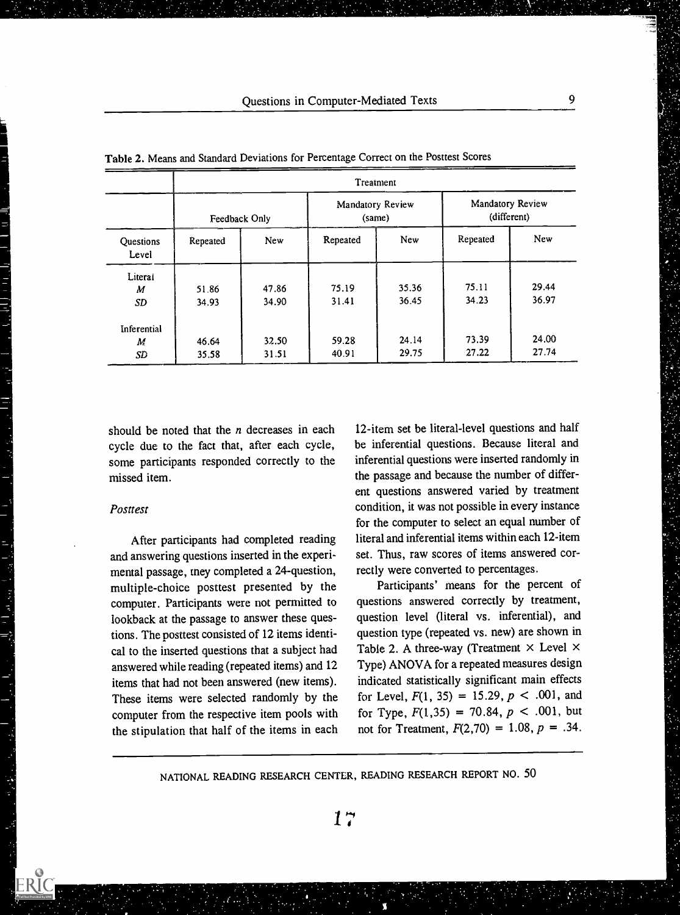|                    | Treatment     |            |                            |            |                                 |            |  |  |
|--------------------|---------------|------------|----------------------------|------------|---------------------------------|------------|--|--|
| Questions<br>Level | Feedback Only |            | Mandatory Review<br>(same) |            | Mandatory Review<br>(different) |            |  |  |
|                    | Repeated      | <b>New</b> | Repeated                   | <b>New</b> | Repeated                        | <b>New</b> |  |  |
| Literal            |               |            |                            |            |                                 | 29.44      |  |  |
| M                  | 51.86         | 47.86      | 75.19                      | 35.36      | 75.11                           |            |  |  |
| <b>SD</b>          | 34.93         | 34.90      | 31.41                      | 36.45      | 34.23                           | 36.97      |  |  |
| Inferential        |               |            |                            |            |                                 |            |  |  |
| M                  | 46.64         | 32.50      | 59.28                      | 24.14      | 73.39                           | 24.00      |  |  |
| SD                 | 35.58         | 31.51      | 40.91                      | 29.75      | 27.22                           | 27.74      |  |  |

Table 2. Means and Standard Deviations for Percentage Correct on the Posttest Scores

should be noted that the  $n$  decreases in each cycle due to the fact that, after each cycle, some participants responded correctly to the missed item.

#### Posttest

Ξ

After participants had completed reading and answering questions inserted in the experimental passage, tney completed a 24-question, multiple-choice posttest presented by the computer. Participants were not pemiitted to lookback at the passage to answer these questions. The posttest consisted of 12 items identical to the inserted questions that a subject had answered while reading (repeated items) and 12 items that had not been answered (new items). These items were selected randomly by the computer from the respective item pools with the stipulation that half of the items in each

12-item set be literal-level questions and half be inferential questions. Because literal and inferential questions were inserted randomly in the passage and because the number of different questions answered varied by treatment condition, it was not possible in every instance for the computer to select an equal number of literal and inferential items within each 12-item set. Thus, raw scores of items answered correctly were converted to percentages.

Participants' means for the percent of questions answered correctly by treatment, question level (literal vs. inferential), and question type (repeated vs. new) are shown in Table 2. A three-way (Treatment  $\times$  Level  $\times$ Type) ANOVA for a repeated measures design indicated statistically significant main effects for Level,  $F(1, 35) = 15.29$ ,  $p < .001$ , and for Type,  $F(1,35) = 70.84$ ,  $p < .001$ , but not for Treatment,  $F(2,70) = 1.08$ ,  $p = .34$ .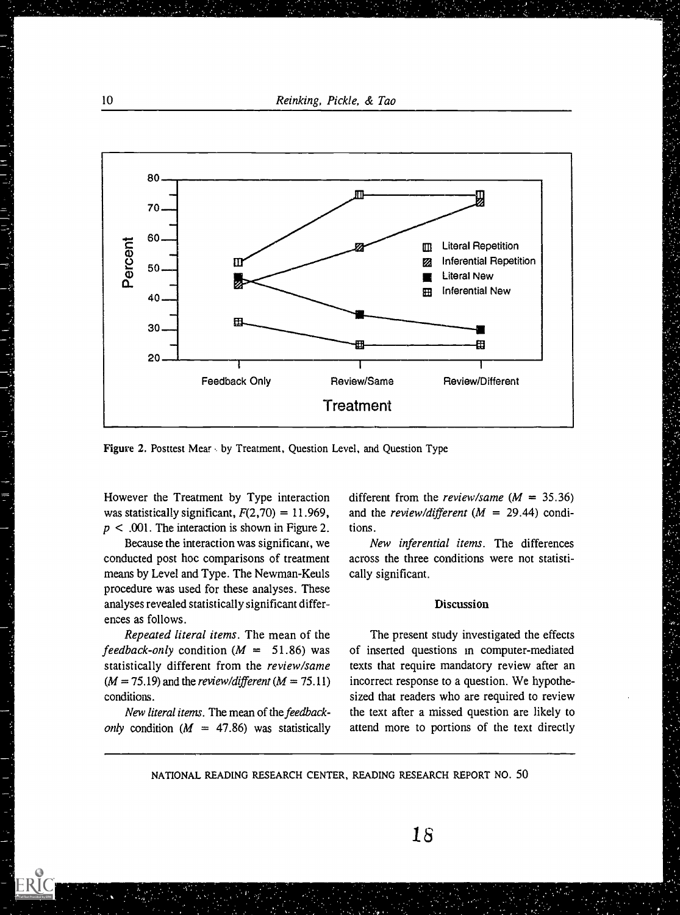10 Reinking, Pickle, & Tao



Figure 2. Posttest Mear. by Treatment, Question Level, and Question Type

However the Treatment by Type interaction was statistically significant,  $F(2,70) = 11.969$ ,  $p < .001$ . The interaction is shown in Figure 2.

Because the interaction was significam, we conducted post hoc comparisons of treatment means by Level and Type. The Newman-Keuls procedure was used for these analyses. These analyses revealed statistically significant differences as follows.

Repeated literal items. The mean of the feedback-only condition ( $M = 51.86$ ) was statistically different from the review/same  $(M = 75.19)$  and the *review/different*  $(M = 75.11)$ conditions.

New literal items. The mean of the feedbackonly condition ( $M = 47.86$ ) was statistically different from the *review/same* ( $M = 35.36$ ) and the review/different ( $M = 29.44$ ) conditions.

New inferential items. The differences across the three conditions were not statistically significant.

### **Discussion**

The present study investigated the effects of inserted questions in computer-mediated texts that require mandatory review after an incorrect response to a question. We hypothesized that readers who are required to review the text after a missed question are likely to attend more to portions of the text directly

18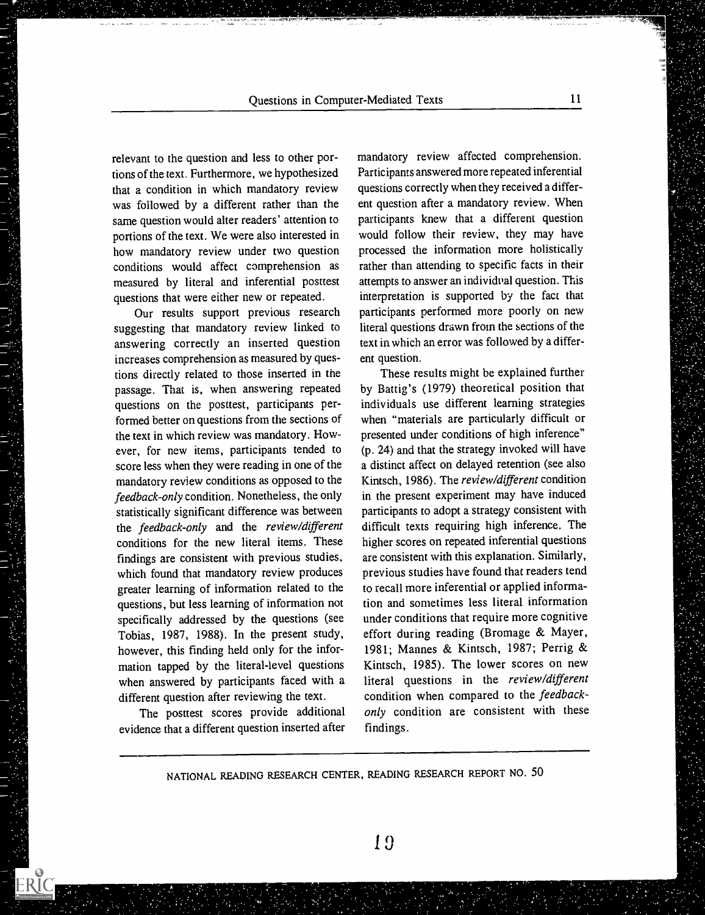relevant to the question and less to other portions of the text. Furthermore, we hypothesized that a condition in which mandatory review was followed by a different rather than the same question would alter readers' attention to portions of the text. We were also interested in how mandatory review under two question conditions would affect comprehension as measured by literal and inferential posttest questions that were either new or repeated.

Our results support previous research suggesting that mandatory review linked to answering correctly an inserted question increases comprehension as measured by questions directly related to those inserted in the passage. That is, when answering repeated questions on the posttest, participants performed better on questions from the sections of the text in which review was mandatory. However, for new items, participants tended to score less when they were reading in one of the mandatory review conditions as opposed to the feedback-only condition. Nonetheless, the only statistically significant difference was between the feedback-only and the review/different conditions for the new literal items. These findings are consistent with previous studies, which found that mandatory review produces greater learning of information related to the questions, but less learning of information not specifically addressed by the questions (see Tobias, 1987, 1988). In the present study, however, this finding held only for the information tapped by the literal-level questions when answered by participants faced with a different question after reviewing the text.

The posttest scores provide additional evidence that a different question inserted after

mandatory review affected comprehension. Participants answered more repeated inferential questions correctly when they received a different question after a mandatory review. When participants knew that a different question would follow their review, they may have processed the information more holistically rather than attending to specific facts in their attempts to answer an individual question. This interpretation is supported by the fact that participants performed more poorly on new literal questions drawn from the sections of the text in which an error was followed by a different question.

These results might be explained further by Battig's (1979) theoretical position that individuals use different learning strategies when "materials are particularly difficult or presented under conditions of high inference" (p. 24) and that the strategy invoked will have a distinct affect on delayed retention (see also Kintsch, 1986). The review/different condition in the present experiment may have induced participants to adopt a strategy consistent with difficult texts requiring high inference. The higher scores on repeated inferential questions are consistent with this explanation. Similarly, previous studies have found that readers tend to recall more inferential or applied information and sometimes less literal information under conditions that require more cognitive effort during reading (Bromage & Mayer, 1981; Mannes & Kintsch, 1987; Perrig & Kintsch, 1985). The lower scores on new literal questions in the review/different condition when compared to the feedbackonly condition are consistent with these findings.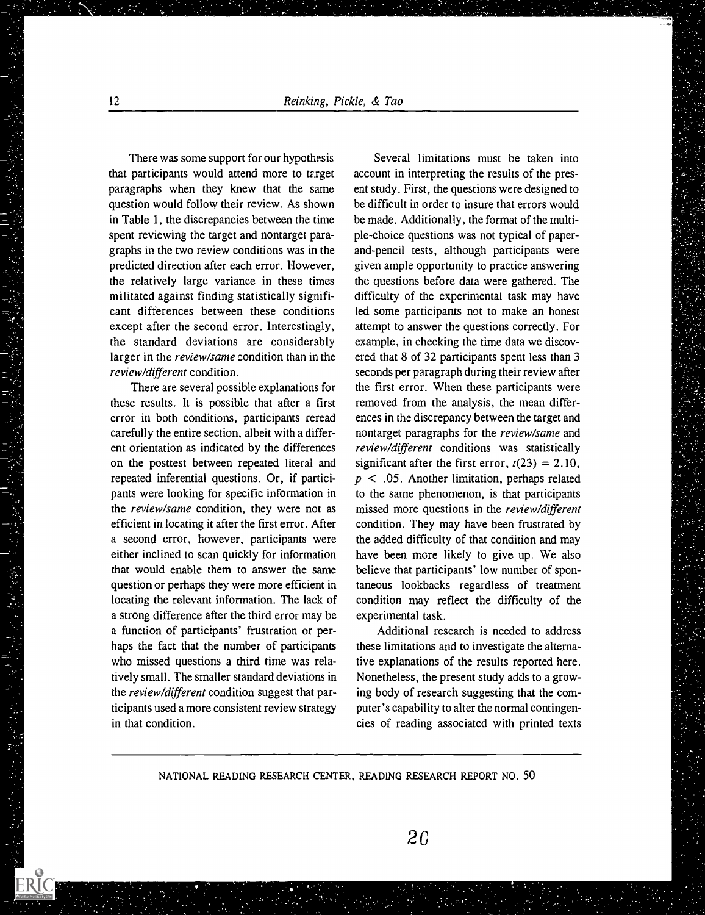There was some support for our hypothesis that participants would attend more to target paragraphs when they knew that the same question would follow their review. As shown in Table 1, the discrepancies between the time spent reviewing the target and nontarget paragraphs in the two review conditions was in the predicted direction after each error. However, the relatively large variance in these times militated against finding statistically significant differences between these conditions except after the second error. Interestingly, the standard deviations are considerably larger in the review/same condition than in the review/different condition.

There are several possible explanations for these results. It is possible that after a first error in both conditions, participants reread carefully the entire section, albeit with a different orientation as indicated by the differences on the posttest between repeated literal and repeated inferential questions. Or, if participants were looking for specific information in the review/same condition, they were not as efficient in locating it after the first error. After a second error, however, participants were either inclined to scan quickly for information that would enable them to answer the same question or perhaps they were more efficient in locating the relevant information. The lack of a strong difference after the third error may be a function of participants' frustration or perhaps the fact that the number of participants who missed questions a third time was relatively small. The smaller standard deviations in the review/different condition suggest that participants used a more consistent review strategy in that condition.

Several limitations must be taken into account in interpreting the results of the present study. First, the questions were designed to be difficult in order to insure that errors would be made. Additionally, the format of the multiple-choice questions was not typical of paperand-pencil tests, although participants were given ample opportunity to practice answering the questions before data were gathered. The difficulty of the experimental task may have led some participants not to make an honest attempt to answer the questions correctly. For example, in checking the time data we discovered that 8 of 32 participants spent less than 3 seconds per paragraph during their review after the first error. When these participants were removed from the analysis, the mean differences in the discrepancy between the target and nontarget paragraphs for the review/same and review/different conditions was statistically significant after the first error,  $t(23) = 2.10$ ,  $p < .05$ . Another limitation, perhaps related to the same phenomenon, is that participants missed more questions in the review/different condition. They may have been frustrated by the added difficulty of that condition and may have been more likely to give up. We also believe that participants' low number of spontaneous lookbacks regardless of treatment condition may reflect the difficulty of the experimental task.

Additional research is needed to address these limitations and to investigate the alternative explanations of the results reported here. Nonetheless, the present study adds to a growing body of research suggesting that the computer's capability to alter the normal contingencies of reading associated with printed texts

NATIONAL READING RESEARCH CENTER, READING RESEARCH REPORT NO. 50

经通信 医神经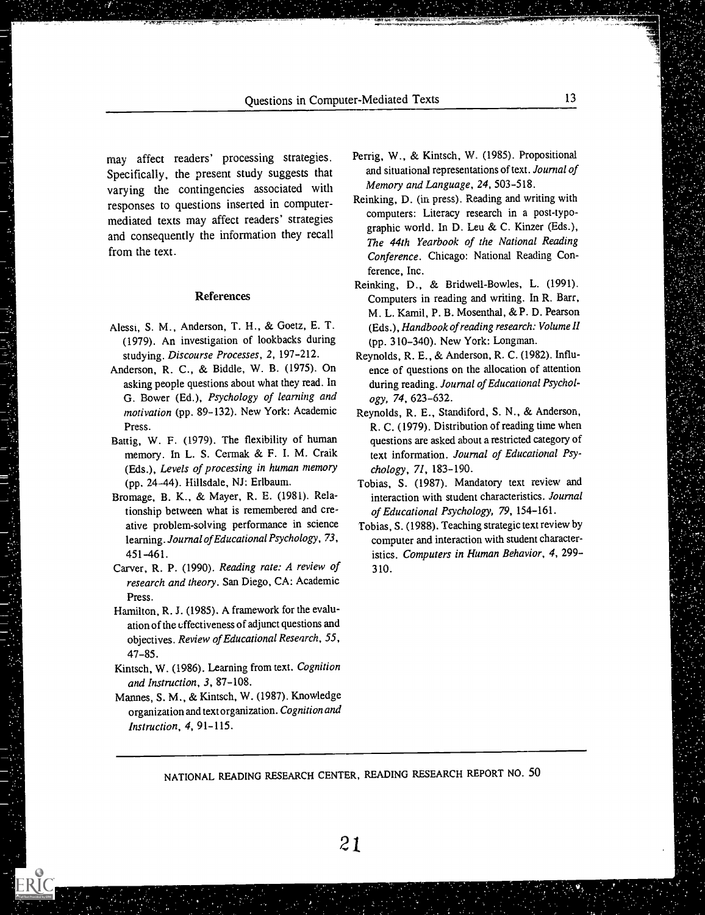may affect readers' processing strategies. Specifically, the present study suggests that varying the contingencies associated with responses to questions inserted in computermediated texts may affect readers' strategies and consequently the information they recall from the text.

#### **References**

- Alessi, S. M., Anderson, T. H., & Goetz, E. T. (1979). An investigation of lookbacks during studying. Discourse Processes, 2,197-212.
- Anderson, R. C., & Biddle, W. B. (1975). On asking people questions about what they read. In G. Bower (Ed.), Psychology of learning and motivation (pp. 89-132). New York: Academic Press.
- Battig, W. F. (1979). The flexibility of human memory. In L. S. Cermak & F. I. M. Craik (Eds.), Levels of processing in human memory (pp. 24-44). Hillsdale, NJ: Erlbaum.
- Bromage, B. K., & Mayer, R. E. (1981). Relationship between what is remembered and creative problem-solving performance in science learning. Journal of Educational Psychology, 73 , 451-461.
- Carver, R. P. (1990). Reading rate: A review of research and theory. San Diego, CA: Academic Press.
- Hamilton, R. J. (1985). A framework for the evaluation of the uffectiveness of adjunct questions and objectives. Review of Educational Research, 55, 47-85.
- Kintsch, W. (1986). Learning from text. Cognition and Instruction, 3, 87-108.
- Mannes, S. M., & Kintsch, W. (1987). Knowledge organization and text organization. Cognition and Instruction, 4, 91-115.
- Perrig, W., & Kintsch, W. (1985). Propositional and situational representations of text. Journal of Memory and Language, 24, 503-518.
- Reinking, D. (in press). Reading and writing with computers: Literacy research in a post-typographic world. In D. Leu & C. Kinzer (Eds.), The 44th Yearbook of the National Reading Conference. Chicago: National Reading Conference, Inc.
- Reinking, D., & Bridwell-Bowles, L. (1991). Computers in reading and writing. In R. Barr, M. L. Kamil, P. B. Mosenthal, & P. D. Pearson (Eds.), Handbook of reading research: Volume II (pp. 310-340). New York: Longman.
- Reynolds, R. E., & Anderson, R. C. (1982). Influence of questions on the allocation of attention during reading. Journal of Educational Psychology, 74, 623-632.
- Reynolds, R. E., Standiford, S. N., & Anderson, R. C. (1979). Distribution of reading time when questions are asked about a restricted category of text information. Journal of Educational Psychology, 71, 183-190.
- Tobias, S. (1987). Mandatory text review and interaction with student characteristics. Journal of Educational Psychology, 79,154-161.
- Tobias, S. (1988). Teaching strategic text review by computer and interaction with student characteristics. Computers in Human Behavior, 4, 299- 310.